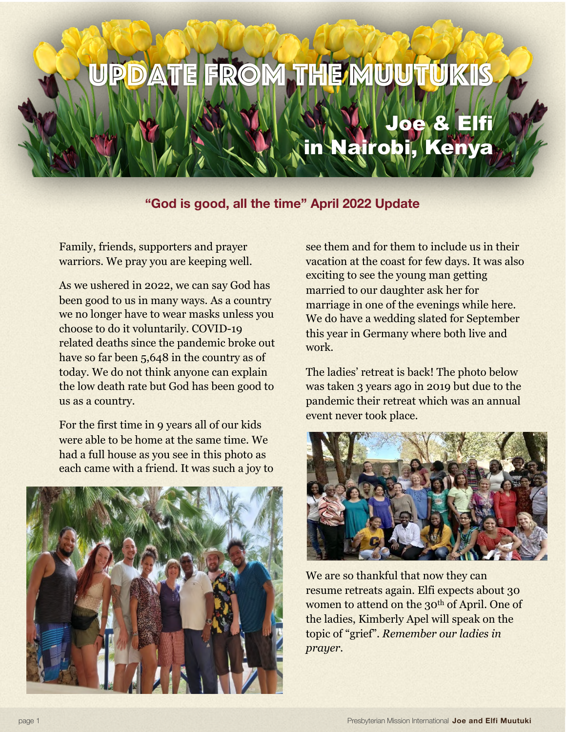## Update from the Muutukis

## Joe & Elfi in Nairobi, Kenya

## **"God is good, all the time" April 2022 Update**

Family, friends, supporters and prayer warriors. We pray you are keeping well.

As we ushered in 2022, we can say God has been good to us in many ways. As a country we no longer have to wear masks unless you choose to do it voluntarily. COVID-19 related deaths since the pandemic broke out have so far been 5,648 in the country as of today. We do not think anyone can explain the low death rate but God has been good to us as a country.

For the first time in 9 years all of our kids were able to be home at the same time. We had a full house as you see in this photo as each came with a friend. It was such a joy to



see them and for them to include us in their vacation at the coast for few days. It was also exciting to see the young man getting married to our daughter ask her for marriage in one of the evenings while here. We do have a wedding slated for September this year in Germany where both live and work.

The ladies' retreat is back! The photo below was taken 3 years ago in 2019 but due to the pandemic their retreat which was an annual event never took place.



We are so thankful that now they can resume retreats again. Elfi expects about 30 women to attend on the 30<sup>th</sup> of April. One of the ladies, Kimberly Apel will speak on the topic of "grief". *Remember our ladies in prayer.*